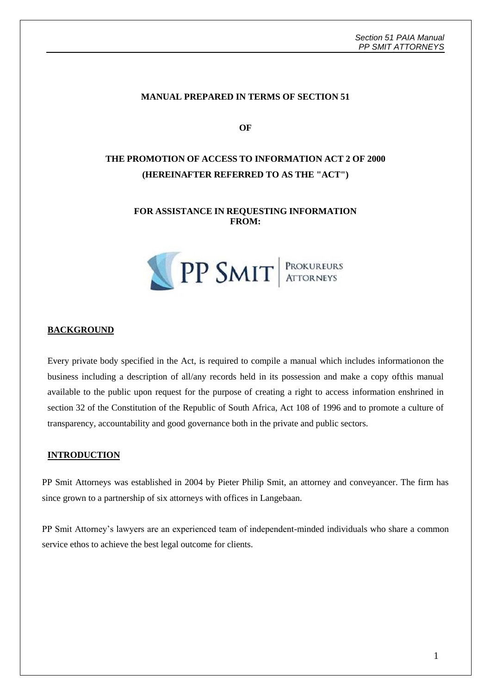#### **MANUAL PREPARED IN TERMS OF SECTION 51**

**OF**

# **THE PROMOTION OF ACCESS TO INFORMATION ACT 2 OF 2000 (HEREINAFTER REFERRED TO AS THE "ACT")**

#### **FOR ASSISTANCE IN REQUESTING INFORMATION FROM:**



#### **BACKGROUND**

Every private body specified in the Act, is required to compile a manual which includes informationon the business including a description of all/any records held in its possession and make a copy ofthis manual available to the public upon request for the purpose of creating a right to access information enshrined in section 32 of the Constitution of the Republic of South Africa, Act 108 of 1996 and to promote a culture of transparency, accountability and good governance both in the private and public sectors.

#### **INTRODUCTION**

PP Smit Attorneys was established in 2004 by Pieter Philip Smit, an attorney and conveyancer. The firm has since grown to a partnership of six attorneys with offices in Langebaan.

PP Smit Attorney's lawyers are an experienced team of independent-minded individuals who share a common service ethos to achieve the best legal outcome for clients.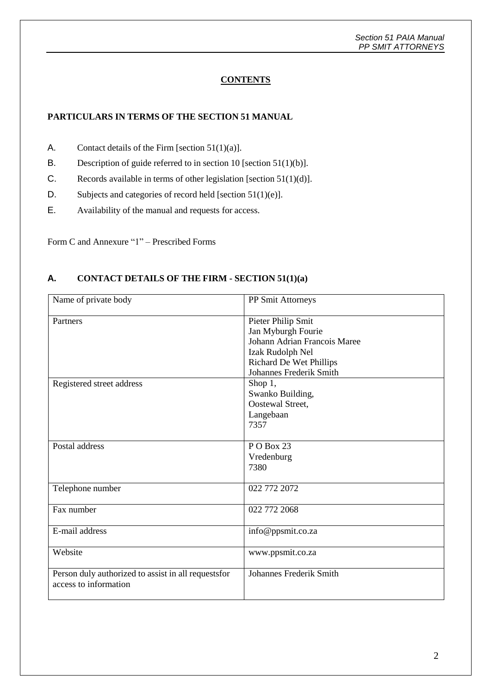## **CONTENTS**

## **PARTICULARS IN TERMS OF THE SECTION 51 MANUAL**

- A. Contact details of the Firm [section  $51(1)(a)$ ].
- B. Description of guide referred to in section 10 [section 51(1)(b)].
- C. Records available in terms of other legislation [section 51(1)(d)].
- D. Subjects and categories of record held [section 51(1)(e)].
- E. Availability of the manual and requests for access.

Form C and Annexure "1" – Prescribed Forms

## **A. CONTACT DETAILS OF THE FIRM - SECTION 51(1)(a)**

| Name of private body                                 | PP Smit Attorneys              |
|------------------------------------------------------|--------------------------------|
| Partners                                             | Pieter Philip Smit             |
|                                                      | Jan Myburgh Fourie             |
|                                                      | Johann Adrian Francois Maree   |
|                                                      | Izak Rudolph Nel               |
|                                                      | <b>Richard De Wet Phillips</b> |
|                                                      | Johannes Frederik Smith        |
| Registered street address                            | Shop 1,                        |
|                                                      | Swanko Building,               |
|                                                      | Oostewal Street,               |
|                                                      | Langebaan                      |
|                                                      | 7357                           |
| Postal address                                       | PO Box 23                      |
|                                                      | Vredenburg                     |
|                                                      | 7380                           |
|                                                      |                                |
| Telephone number                                     | 022 772 2072                   |
|                                                      |                                |
| Fax number                                           | 022 772 2068                   |
| E-mail address                                       | info@ppsmit.co.za              |
|                                                      |                                |
| Website                                              | www.ppsmit.co.za               |
|                                                      |                                |
| Person duly authorized to assist in all requests for | <b>Johannes Frederik Smith</b> |
| access to information                                |                                |
|                                                      |                                |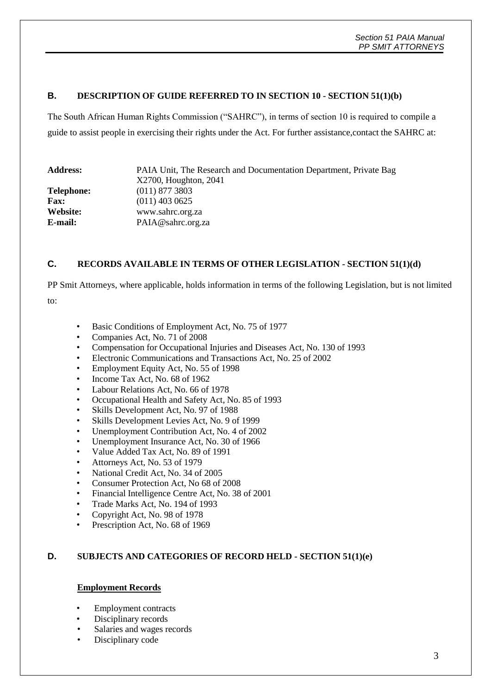### **B. DESCRIPTION OF GUIDE REFERRED TO IN SECTION 10 - SECTION 51(1)(b)**

The South African Human Rights Commission ("SAHRC"), in terms of section 10 is required to compile a guide to assist people in exercising their rights under the Act. For further assistance,contact the SAHRC at:

| <b>Address:</b> | PAIA Unit, The Research and Documentation Department, Private Bag<br>X2700, Houghton, 2041 |  |  |
|-----------------|--------------------------------------------------------------------------------------------|--|--|
|                 |                                                                                            |  |  |
| Telephone:      | $(011)$ 877 3803                                                                           |  |  |
| <b>Fax:</b>     | $(011)$ 403 0625                                                                           |  |  |
| Website:        | www.sahrc.org.za                                                                           |  |  |
| E-mail:         | PAIA@sahrc.org.za                                                                          |  |  |

### **C. RECORDS AVAILABLE IN TERMS OF OTHER LEGISLATION - SECTION 51(1)(d)**

PP Smit Attorneys, where applicable, holds information in terms of the following Legislation, but is not limited

to:

- Basic Conditions of Employment Act, No. 75 of 1977
- Companies Act, No. 71 of 2008
- Compensation for Occupational Injuries and Diseases Act, No. 130 of 1993
- Electronic Communications and Transactions Act, No. 25 of 2002
- Employment Equity Act, No. 55 of 1998
- Income Tax Act, No. 68 of 1962
- Labour Relations Act, No. 66 of 1978
- Occupational Health and Safety Act, No. 85 of 1993
- Skills Development Act, No. 97 of 1988
- Skills Development Levies Act, No. 9 of 1999
- Unemployment Contribution Act, No. 4 of 2002
- Unemployment Insurance Act, No. 30 of 1966
- Value Added Tax Act, No. 89 of 1991
- Attorneys Act, No. 53 of 1979
- National Credit Act, No. 34 of 2005
- Consumer Protection Act, No 68 of 2008
- Financial Intelligence Centre Act, No. 38 of 2001
- Trade Marks Act, No. 194 of 1993
- Copyright Act, No. 98 of 1978
- Prescription Act, No. 68 of 1969

## **D. SUBJECTS AND CATEGORIES OF RECORD HELD - SECTION 51(1)(e)**

#### **Employment Records**

- Employment contracts
- Disciplinary records
- Salaries and wages records
- Disciplinary code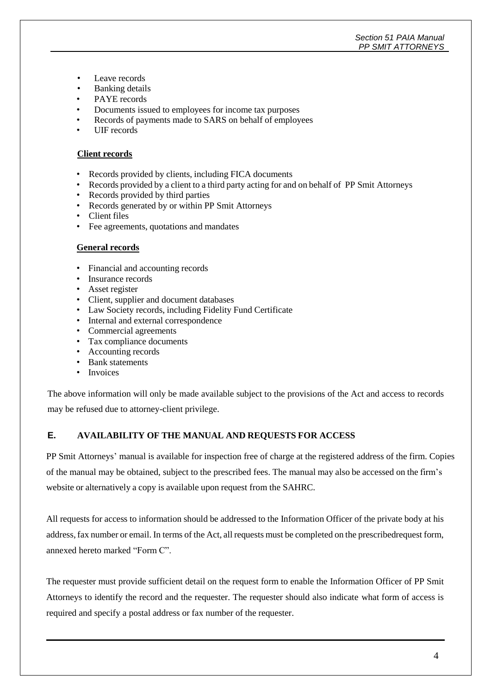#### *Section 51 PAIA Manual PP SMIT ATTORNEYS*

- Leave records
- Banking details
- PAYE records
- Documents issued to employees for income tax purposes
- Records of payments made to SARS on behalf of employees
- UIF records

#### **Client records**

- Records provided by clients, including FICA documents<br>• Records provided by a client to a third party acting for and
- Records provided by a client to a third party acting for and on behalf of PP Smit Attorneys
- Records provided by third parties
- Records generated by or within PP Smit Attorneys
- Client files
- Fee agreements, quotations and mandates

#### **General records**

- Financial and accounting records
- Insurance records
- Asset register
- Client, supplier and document databases
- Law Society records, including Fidelity Fund Certificate
- Internal and external correspondence
- Commercial agreements
- Tax compliance documents
- Accounting records
- Bank statements
- Invoices

The above information will only be made available subject to the provisions of the Act and access to records may be refused due to attorney-client privilege.

## **E. AVAILABILITY OF THE MANUAL AND REQUESTS FOR ACCESS**

PP Smit Attorneys' manual is available for inspection free of charge at the registered address of the firm. Copies of the manual may be obtained, subject to the prescribed fees. The manual may also be accessed on the firm's website or alternatively a copy is available upon request from the SAHRC.

All requests for access to information should be addressed to the Information Officer of the private body at his address,fax number or email. In terms of the Act, all requests must be completed on the prescribedrequest form, annexed hereto marked "Form C".

The requester must provide sufficient detail on the request form to enable the Information Officer of PP Smit Attorneys to identify the record and the requester. The requester should also indicate what form of access is required and specify a postal address or fax number of the requester.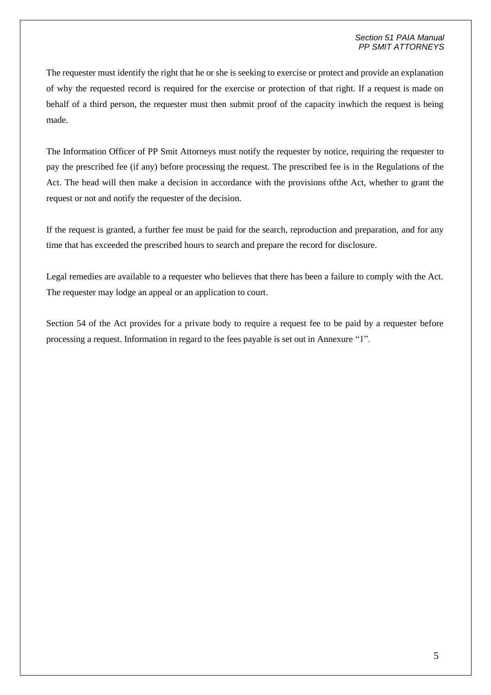#### *Section 51 PAIA Manual PP SMIT ATTORNEYS*

The requester must identify the right that he or she is seeking to exercise or protect and provide an explanation of why the requested record is required for the exercise or protection of that right. If a request is made on behalf of a third person, the requester must then submit proof of the capacity inwhich the request is being made.

The Information Officer of PP Smit Attorneys must notify the requester by notice, requiring the requester to pay the prescribed fee (if any) before processing the request. The prescribed fee is in the Regulations of the Act. The head will then make a decision in accordance with the provisions ofthe Act, whether to grant the request or not and notify the requester of the decision.

If the request is granted, a further fee must be paid for the search, reproduction and preparation, and for any time that has exceeded the prescribed hours to search and prepare the record for disclosure.

Legal remedies are available to a requester who believes that there has been a failure to comply with the Act. The requester may lodge an appeal or an application to court.

Section 54 of the Act provides for a private body to require a request fee to be paid by a requester before processing a request. Information in regard to the fees payable is set out in Annexure "1".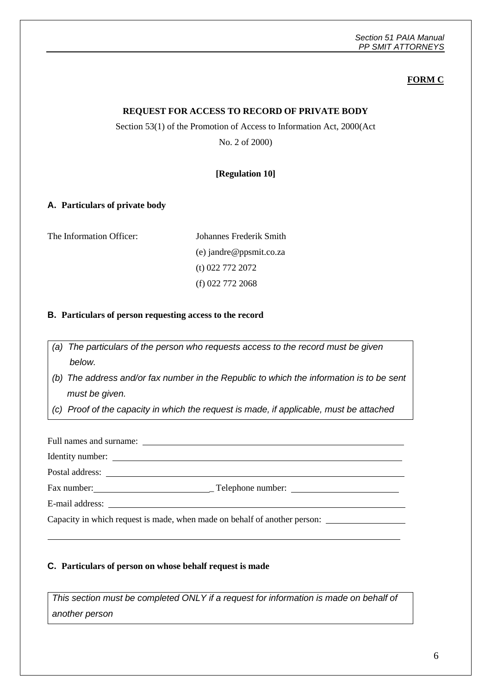## **FORM C**

### **REQUEST FOR ACCESS TO RECORD OF PRIVATE BODY**

#### Section 53(1) of the Promotion of Access to Information Act, 2000(Act

No. 2 of 2000)

### **[Regulation 10]**

#### **A. Particulars of private body**

The Information Officer:

#### **B. Particulars of person requesting access to the record**

*(a) The particulars of the person who requests access to the record must be given below.*

*(b) The address and/or fax number in the Republic to which the information is to be sent must be given.*

*(c) Proof of the capacity in which the request is made, if applicable, must be attached*

Full names and surname:  $\Box$ 

Identity number:

Postal address:

Fax number: Telephone number:

E-mail address:

Capacity in which request is made, when made on behalf of another person:

#### **C. Particulars of person on whose behalf request is made**

*This section must be completed ONLY if a request for information is made on behalf of another person*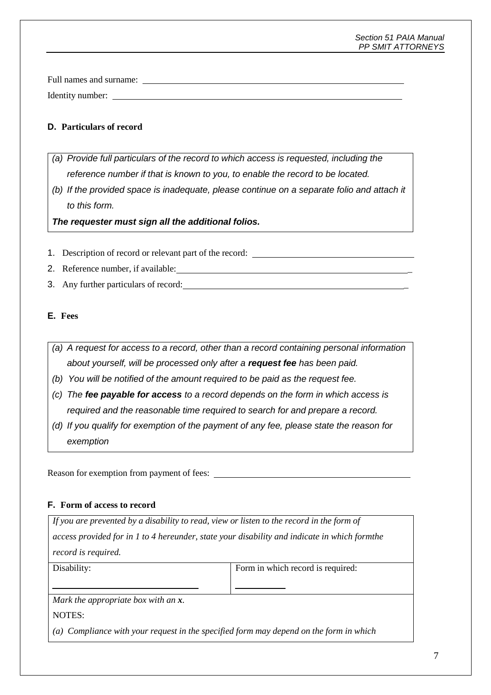#### *Section 51 PAIA Manual PP SMIT ATTORNEYS*

Full names and surname: Identity number:

## **D. Particulars of record**

- *(a) Provide full particulars of the record to which access is requested, including the reference number if that is known to you, to enable the record to be located.*
- *(b) If the provided space is inadequate, please continue on a separate folio and attach it to this form.*

*The requester must sign all the additional folios.*

- 1. Description of record or relevant part of the record:
- 2. Reference number, if available:
- 3. Any further particulars of record: \_

## **E. Fees**

- *(a) A request for access to a record, other than a record containing personal information about yourself, will be processed only after a request fee has been paid.*
- *(b) You will be notified of the amount required to be paid as the request fee.*
- *(c) The fee payable for access to a record depends on the form in which access is required and the reasonable time required to search for and prepare a record.*
- *(d) If you qualify for exemption of the payment of any fee, please state the reason for exemption*

Reason for exemption from payment of fees:

## **F. Form of access to record**

*If you are prevented by a disability to read, view or listen to the record in the form of access provided for in 1 to 4 hereunder, state your disability and indicate in which formthe record is required.*

Disability: Form in which record is required:

*Mark the appropriate box with an x.*

NOTES:

*(a) Compliance with your request in the specified form may depend on the form in which*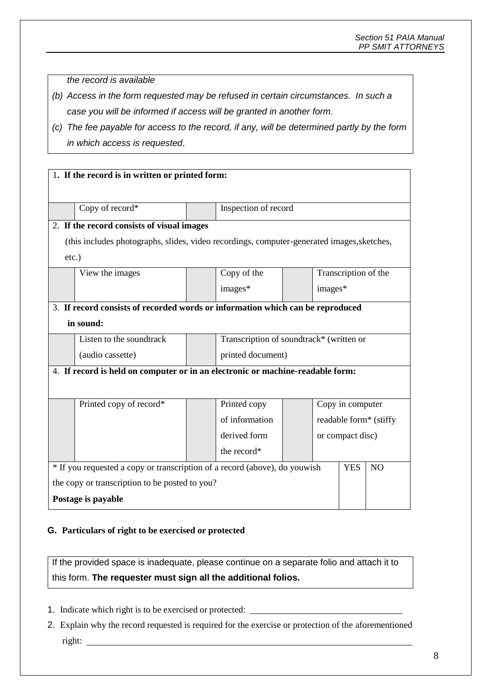*the record is available*

- *(b) Access in the form requested may be refused in certain circumstances. In such a case you will be informed if access will be granted in another form.*
- *(c) The fee payable for access to the record, if any, will be determined partly by the form in which access is requested*.

|                                                                                            | 1. If the record is in written or printed form: |                                          |         |                        |                      |           |
|--------------------------------------------------------------------------------------------|-------------------------------------------------|------------------------------------------|---------|------------------------|----------------------|-----------|
|                                                                                            |                                                 |                                          |         |                        |                      |           |
|                                                                                            |                                                 |                                          |         |                        |                      |           |
| Copy of record*                                                                            |                                                 | Inspection of record                     |         |                        |                      |           |
|                                                                                            | 2. If the record consists of visual images      |                                          |         |                        |                      |           |
| (this includes photographs, slides, video recordings, computer-generated images, sketches, |                                                 |                                          |         |                        |                      |           |
| $etc.$ )                                                                                   |                                                 |                                          |         |                        |                      |           |
| View the images                                                                            |                                                 | Copy of the                              |         |                        | Transcription of the |           |
|                                                                                            |                                                 | images*                                  | images* |                        |                      |           |
| 3. If record consists of recorded words or information which can be reproduced             |                                                 |                                          |         |                        |                      |           |
| in sound:                                                                                  |                                                 |                                          |         |                        |                      |           |
| Listen to the soundtrack                                                                   |                                                 | Transcription of soundtrack* (written or |         |                        |                      |           |
| (audio cassette)                                                                           |                                                 | printed document)                        |         |                        |                      |           |
| 4. If record is held on computer or in an electronic or machine-readable form:             |                                                 |                                          |         |                        |                      |           |
|                                                                                            |                                                 |                                          |         |                        |                      |           |
| Printed copy of record*                                                                    |                                                 | Printed copy                             |         | Copy in computer       |                      |           |
|                                                                                            |                                                 | of information                           |         | readable form* (stiffy |                      |           |
|                                                                                            |                                                 | derived form                             |         | or compact disc)       |                      |           |
|                                                                                            |                                                 | the record*                              |         |                        |                      |           |
| * If you requested a copy or transcription of a record (above), do youwish                 |                                                 |                                          |         |                        | <b>YES</b>           | <b>NO</b> |
| the copy or transcription to be posted to you?                                             |                                                 |                                          |         |                        |                      |           |
| Postage is payable                                                                         |                                                 |                                          |         |                        |                      |           |

## **G. Particulars of right to be exercised or protected**

If the provided space is inadequate, please continue on a separate folio and attach it to this form. **The requester must sign all the additional folios.**

- 1. Indicate which right is to be exercised or protected:
- 2. Explain why the record requested is required for the exercise or protection of the aforementioned right: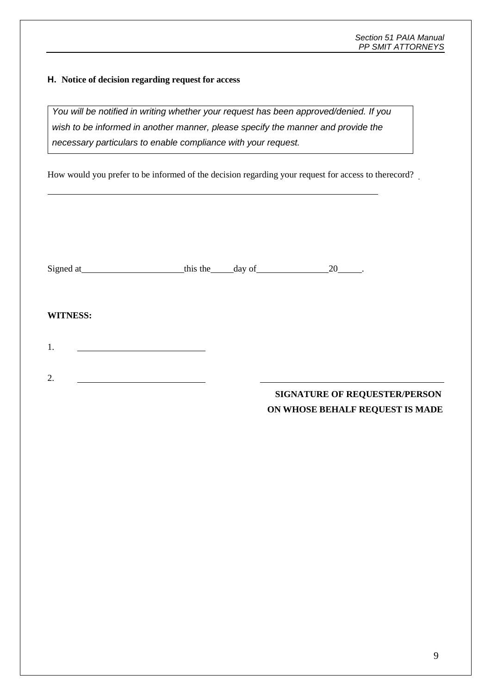## **H. Notice of decision regarding request for access**

*You will be notified in writing whether your request has been approved/denied. If you wish to be informed in another manner, please specify the manner and provide the necessary particulars to enable compliance with your request.*

How would you prefer to be informed of the decision regarding your request for access to therecord?

| Signed at | the<br>this | dav of |  |
|-----------|-------------|--------|--|
|           |             |        |  |

## **WITNESS:**

1.

2.

# **SIGNATURE OF REQUESTER/PERSON ON WHOSE BEHALF REQUEST IS MADE**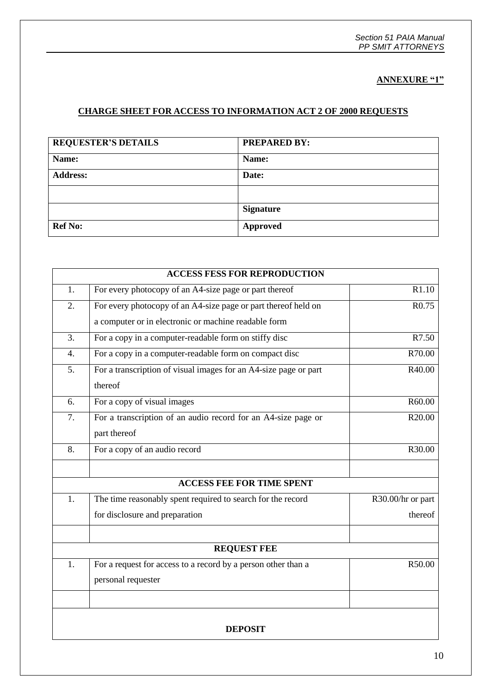## **ANNEXURE "1"**

### **CHARGE SHEET FOR ACCESS TO INFORMATION ACT 2 OF 2000 REQUESTS**

| <b>REQUESTER'S DETAILS</b> | <b>PREPARED BY:</b> |
|----------------------------|---------------------|
| Name:                      | Name:               |
| <b>Address:</b>            | Date:               |
|                            |                     |
|                            | <b>Signature</b>    |
| <b>Ref No:</b>             | <b>Approved</b>     |

| <b>ACCESS FESS FOR REPRODUCTION</b> |                                                                  |                   |  |  |
|-------------------------------------|------------------------------------------------------------------|-------------------|--|--|
| 1.                                  | For every photocopy of an A4-size page or part thereof           | R1.10             |  |  |
| 2.                                  | For every photocopy of an A4-size page or part thereof held on   | R0.75             |  |  |
|                                     | a computer or in electronic or machine readable form             |                   |  |  |
| 3.                                  | For a copy in a computer-readable form on stiffy disc            | R7.50             |  |  |
| $\overline{4}$ .                    | For a copy in a computer-readable form on compact disc           | R70.00            |  |  |
| 5.                                  | For a transcription of visual images for an A4-size page or part | R40.00            |  |  |
|                                     | thereof                                                          |                   |  |  |
| 6.                                  | For a copy of visual images                                      | R60.00            |  |  |
| 7.                                  | For a transcription of an audio record for an A4-size page or    | R20.00            |  |  |
|                                     | part thereof                                                     |                   |  |  |
| 8.                                  | For a copy of an audio record                                    | R30.00            |  |  |
|                                     |                                                                  |                   |  |  |
| <b>ACCESS FEE FOR TIME SPENT</b>    |                                                                  |                   |  |  |
| 1.                                  | The time reasonably spent required to search for the record      | R30.00/hr or part |  |  |
|                                     | for disclosure and preparation                                   | thereof           |  |  |
|                                     |                                                                  |                   |  |  |
| <b>REQUEST FEE</b>                  |                                                                  |                   |  |  |
| 1.                                  | For a request for access to a record by a person other than a    | R50.00            |  |  |
|                                     | personal requester                                               |                   |  |  |
|                                     |                                                                  |                   |  |  |
| <b>DEPOSIT</b>                      |                                                                  |                   |  |  |